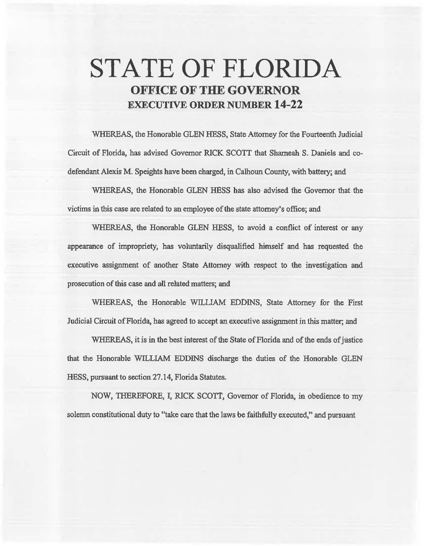# **STATE OF FLORIDA OFFICE OF THE GOVERNOR EXECUTIVE ORDER NUMBER 14-22**

WHEREAS, the Honorable GLEN HESS, State Attorney for the Fourteenth Judicial Circuit of Florida, has advised Governor RICK SCOTT that Shameah S. Daniels and codefendant Alexis M. Speights have been charged, in Calhoun County, with battery; and

WHEREAS, the Honorable GLEN HESS has also advised the Governor that the victims in this case are related to an employee of the state attorney's office; and

WHEREAS, the Honorable GLEN HESS, to avoid a conflict of interest or any appearance of impropriety, has voluntarily disqualified himself and has requested the executive assignment of another State Attorney with respect to the investigation and prosecution of this case and all related matters; and

WHEREAS, the Honorable WILLIAM EDDINS, State Attorney for the First Judicial Circuit of Florida, has agreed to accept an executive assignment in this matter; and

WHEREAS, it is in the best interest of the State of Florida and of the ends of justice that the Honorable WILLIAM EDDJNS discharge 1he duties of the Honorable GLEN HESS, pursuant to section 27.14, Florida Statutes.

NOW, THEREFORE, I, RICK SCOTT, Governor of Florida, in obedience to my solemn constitutional duty to "take care that the laws be faithfully executed," and pursuant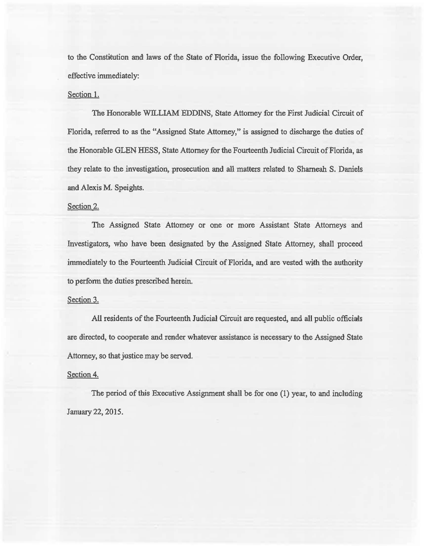to the Constitution and laws of the State of Florida, issue the following Executive Order, effective immediately:

#### Section 1.

The Honorable WILLIAM EDDINS, State Attorney for the First Judicial Circuit of Florida, referred to as the "Assigned State Attorney," is assigned to discharge the duties of the Honorable GLEN HESS, State Attorney for the Fourteenth Judicial Circuit of Florida, as they relate to the investigation, prosecution and all matters related to Sharneah S. Daniels and Alexis M. Speights.

### Section 2.

The Assigned State Attorney or one or more Assistant State Attorneys and Investigators, who have been designated by the Assigned State Attorney, shall proceed immediately to the Fourteenth Judicial Circuit of Florida, and are vested with the authority to perform the duties prescribed herein.

#### Section 3.

All residents of the Fourteenth Judicial Circuit are requested, and all public officials are directed, to cooperate and render whatever assistance is necessary to the Assigned State Attorney, so that justice may be served.

## Section 4.

The period of this Executive Assignment shall be for one (1) year, to and including January22, 2015.